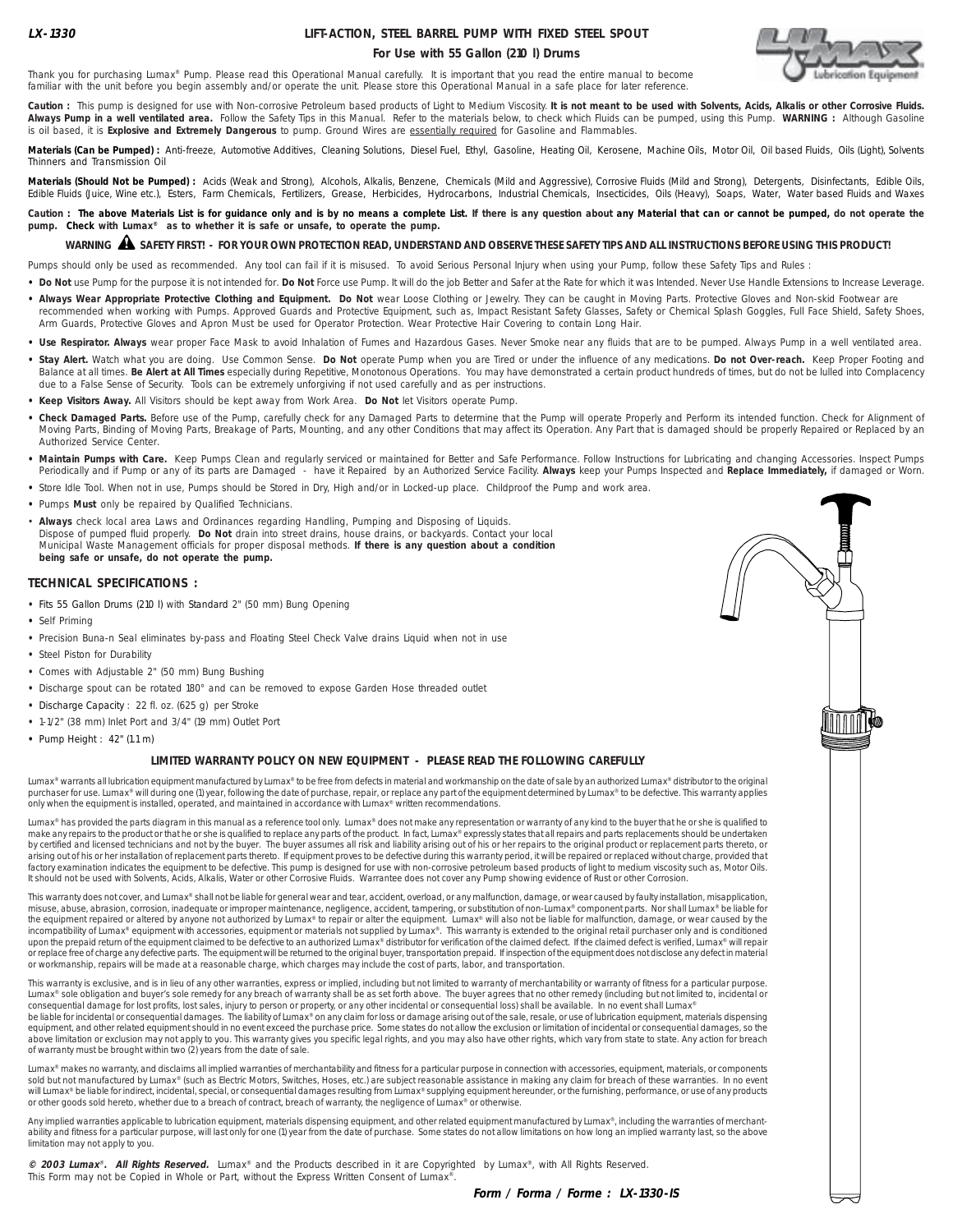# **LIFT-ACTION, STEEL BARREL PUMP WITH FIXED STEEL SPOUT For Use with 55 Gallon (210 l) Drums**



Thank you for purchasing Lumax® Pump. Please read this Operational Manual carefully. It is important that you read the entire manual to become familiar with the unit before you begin assembly and/or operate the unit. Please store this Operational Manual in a safe place for later reference.

Caution : This pump is designed for use with Non-corrosive Petroleum based products of Light to Medium Viscosity. It is not meant to be used with Solvents, Acids, Alkalis or other Corrosive Fluids. **Always Pump in a well ventilated area.** Follow the Safety Tips in this Manual. Refer to the materials below, to check which Fluids can be pumped, using this Pump. **WARNING :** Although Gasoline is oil based, it is **Explosive and Extremely Dangerous** to pump. Ground Wires are essentially required for Gasoline and Flammables.

**Materials (Can be Pumped) :** Anti-freeze, Automotive Additives, Cleaning Solutions, Diesel Fuel, Ethyl, Gasoline, Heating Oil, Kerosene, Machine Oils, Motor Oil, Oil based Fluids, Oils (Light), Solvents Thinners and Transmission Oil

**Materials (Should Not be Pumped) :** Acids (Weak and Strong), Alcohols, Alkalis, Benzene, Chemicals (Mild and Aggressive), Corrosive Fluids (Mild and Strong), Detergents, Disinfectants, Edible Oils, Edible Fluids (Juice, Wine etc.), Esters, Farm Chemicals, Fertilizers, Grease, Herbicides, Hydrocarbons, Industrial Chemicals, Insecticides, Oils (Heavy), Soaps, Water, Water based Fluids and Waxes

Caution : The above Materials List is for guidance only and is by no means a complete List. If there is any question about any Material that can or cannot be pumped, do not operate the **pump. Check with Lumax® as to whether it is safe or unsafe, to operate the pump.**

# **WARNING SAFETY FIRST! - FOR YOUR OWN PROTECTION READ, UNDERSTAND AND OBSERVE THESE SAFETY TIPS AND ALL INSTRUCTIONS BEFORE USING THIS PRODUCT!** !

Pumps should only be used as recommended. Any tool can fail if it is misused. To avoid Serious Personal Injury when using your Pump, follow these Safety Tips and Rules :

- . Do Not use Pump for the purpose it is not intended for. Do Not Force use Pump. It will do the job Better and Safer at the Rate for which it was Intended. Never Use Handle Extensions to Increase Leverage.
- . Always Wear Appropriate Protective Clothing and Equipment. Do Not wear Loose Clothing or Jewelry. They can be caught in Moving Parts. Protective Gloves and Non-skid Footwear are recommended when working with Pumps. Approved Guards and Protective Equipment, such as, Impact Resistant Safety Glasses, Safety or Chemical Splash Goggles, Full Face Shield, Safety Shoes, Arm Guards, Protective Gloves and Apron Must be used for Operator Protection. Wear Protective Hair Covering to contain Long Hair.
- Use Respirator. Always wear proper Face Mask to avoid Inhalation of Fumes and Hazardous Gases. Never Smoke near any fluids that are to be pumped. Always Pump in a well ventilated area.
- **• Stay Alert.** Watch what you are doing. Use Common Sense. **Do Not** operate Pump when you are Tired or under the influence of any medications. **Do not Over-reach.** Keep Proper Footing and Balance at all times. **Be Alert at All Times** especially during Repetitive, Monotonous Operations. You may have demonstrated a certain product hundreds of times, but do not be lulled into Complacency due to a False Sense of Security. Tools can be extremely unforgiving if not used carefully and as per instructions.
- **• Keep Visitors Away.** All Visitors should be kept away from Work Area. **Do Not** let Visitors operate Pump.
- **• Check Damaged Parts.** Before use of the Pump, carefully check for any Damaged Parts to determine that the Pump will operate Properly and Perform its intended function. Check for Alignment of Moving Parts, Binding of Moving Parts, Breakage of Parts, Mounting, and any other Conditions that may affect its Operation. Any Part that is damaged should be properly Repaired or Replaced by an Authorized Service Center.
- **• Maintain Pumps with Care.** Keep Pumps Clean and regularly serviced or maintained for Better and Safe Performance. Follow Instructions for Lubricating and changing Accessories. Inspect Pumps Periodically and if Pump or any of its parts are Damaged - have it Repaired by an Authorized Service Facility. **Always** keep your Pumps Inspected and **Replace Immediately,** if damaged or Worn.
- **•** Store Idle Tool. When not in use, Pumps should be Stored in Dry, High and/or in Locked-up place. Childproof the Pump and work area.
- **•** Pumps **Must** only be repaired by Qualified Technicians.
- **Always** check local area Laws and Ordinances regarding Handling, Pumping and Disposing of Liquids. Dispose of pumped fluid properly. **Do Not** drain into street drains, house drains, or backyards. Contact your local Municipal Waste Management officials for proper disposal methods. **If there is any question about a condition being safe or unsafe, do not operate the pump.**

#### **TECHNICAL SPECIFICATIONS :**

- **•** Fits 55 Gallon Drums (210 l) with Standard 2" (50 mm) Bung Opening
- **•** Self Priming
- **•** Precision Buna-n Seal eliminates by-pass and Floating Steel Check Valve drains Liquid when not in use
- **•** Steel Piston for Durability
- **•** Comes with Adjustable 2" (50 mm) Bung Bushing
- **•** Discharge spout can be rotated 180° and can be removed to expose Garden Hose threaded outlet
- **•** Discharge Capacity : 22 fl. oz. (625 g) per Stroke
- **•** 1-1/2" (38 mm) Inlet Port and 3/4" (19 mm) Outlet Port
- **•** Pump Height : 42" (1.1 m)

#### **LIMITED WARRANTY POLICY ON NEW EQUIPMENT - PLEASE READ THE FOLLOWING CAREFULLY**

Lumax® warrants all lubrication equipment manufactured by Lumax® to be free from defects in material and workmanship on the date of sale by an authorized Lumax® distributor to the original purchaser for use. Lumax® will during one (1) year, following the date of purchase, repair, or replace any part of the equipment determined by Lumax® to be defective. This warranty applies only when the equipment is installed, operated, and maintained in accordance with Lumax® written recommendations.

Lumax® has provided the parts diagram in this manual as a reference tool only. Lumax® does not make any representation or warranty of any kind to the buyer that he or she is qualified to make any repairs to the product or that he or she is qualified to replace any parts of the product. In fact, Lumax® expressly states that all repairs and parts replacements should be undertaken by certified and licensed technicians and not by the buyer. The buyer assumes all risk and liability arising out of his or her repairs to the original product or replacement parts thereto, or arising out of his or her installation of replacement parts thereto. If equipment proves to be defective during this warranty period, it will be repaired or replaced without charge, provided that<br>factory examination indica It should not be used with Solvents, Acids, Alkalis, Water or other Corrosive Fluids. Warrantee does not cover any Pump showing evidence of Rust or other Corrosion.

This warranty does not cover, and Lumax® shall not be liable for general wear and tear, accident, overload, or any malfunction, damage, or wear caused by faulty installation, misapplication, misuse, abuse, abrasion, corrosion, inadequate or improper maintenance, negligence, accident, tampering, or substitution of non-Lumax® component parts. Nor shall Lumax® be liable for<br>the equipment repaired or altered by an incompatibility of Lumax® equipment with accessories, equipment or materials not supplied by Lumax®. This warranty is extended to the original retail purchaser only and is conditioned<br>upon the prepaid return of the equipme or replace free of charge any defective parts. The equipment will be returned to the original buyer, transportation prepaid. If inspection of the equipment does not disclose any defect in material or workmanship, repairs will be made at a reasonable charge, which charges may include the cost of parts, labor, and transportation.

This warranty is exclusive, and is in lieu of any other warranties, express or implied, including but not limited to warranty of merchantability or warranty of fitness for a particular purpose Lumax® sole obligation and buyer's sole remedy for any breach of warranty shall be as set forth above. The buyer agrees that no other remedy (including but not limited to, incidental or consequential damage for lost profits, lost sales, injury to person or property, or any other incidental or consequential loss) shall be available. In no event shall Lumax®

be liable for incidental or consequential damages. The liability of Lumax® on any claim for loss or damage arising out of the sale, resale, or use of lubrication equipment, materials dispensing equipment, and other related equipment should in no event exceed the purchase price. Some states do not allow the exclusion or limitation of incidental or consequential damages, so the above limitation or exclusion may not apply to you. This warranty gives you specific legal rights, and you may also have other rights, which vary from state to state. Any action for breach<br>of warranty must be brought withi of warranty must be brought within two (2) years from the date of

Lumax® makes no warranty, and disclaims all implied warranties of merchantability and fitness for a particular purpose in connection with accessories, equipment, materials, or components sold but not manufactured by Lumax® (such as Electric Motors, Switches, Hoses, etc.) are subject reasonable assistance in making any claim for breach of these warranties. In no event will Lumax® be liable for indirect, incidental, special, or consequential damages resulting from Lumax® supplying equipment hereunder, or the furnishing, performance, or use of any products or other goods sold hereto, whether due to a breach of contract, breach of warranty, the negligence of Lumax® or otherwise.

Any implied warranties applicable to lubrication equipment, materials dispensing equipment, and other related equipment manufactured by Lumax®, including the warranties of merchantability and fitness for a particular purpose, will last only for one (1) year from the date of purchase. Some states do not allow limitations on how long an implied warranty last, so the above limitation may not apply to you.

**© 2003 Lumax**® **. All Rights Reserved.** Lumax® and the Products described in it are Copyrighted by Lumax®, with All Rights Reserved. This Form may not be Copied in Whole or Part, without the Express Written Consent of Lumax®.

**Form / Forma / Forme : LX-1330-IS**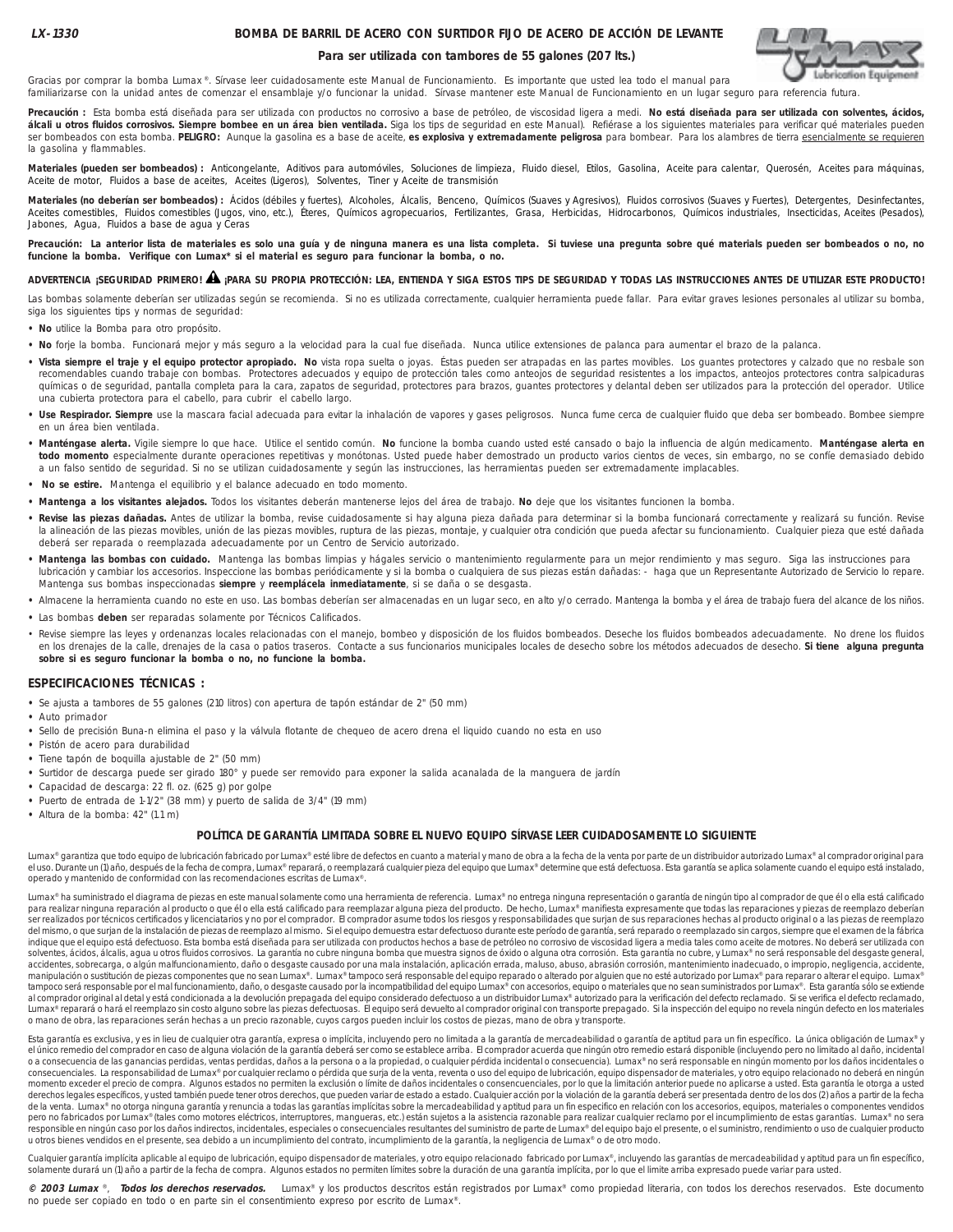## **BOMBA DE BARRIL DE ACERO CON SURTIDOR FIJO DE ACERO DE ACCIÓN DE LEVANTE**

#### **Para ser utilizada con tambores de 55 galones (207 lts.)**



familiarizarse con la unidad antes de comenzar el ensamblaje y/o funcionar la unidad. Sírvase mantener este Manual de Funcionamiento en un lugar seguro para referencia futura.

**Precaución :** Esta bomba está diseñada para ser utilizada con productos no corrosivo a base de petróleo, de viscosidad ligera a medi. **No está diseñada para ser utilizada con solventes, ácidos,** álcali u otros fluidos corrosivos. Siempre bombee en un área bien ventilada. Siga los tips de seguridad en este Manual). Refiérase a los siguientes materiales para verificar qué materiales pueden ser bombeados con esta bomba. **PELIGRO:** Aunque la gasolina es a base de aceite, **es explosiva y extremadamente peligrosa** para bombear. Para los alambres de tierra esencialmente se requieren la gasolina y flammables.

Materiales (pueden ser bombeados) : Anticongelante, Aditivos para automóviles, Soluciones de limpieza, Fluido diesel, Etilos, Gasolina, Aceite para calentar, Querosén, Aceites para máquinas, Aceite de motor, Fluidos a base de aceites, Aceites (Ligeros), Solventes, Tiner y Aceite de transmisión

Materiales (no deberían ser bombeados) : Ácidos (débiles y fuertes), Alcoholes, Álcalis, Benceno, Químicos (Suaves y Agresivos), Fluidos corrosivos (Suaves y Fuertes), Detergentes, Desinfectantes, Aceites comestibles, Fluidos comestibles (Jugos, vino, etc.), Éteres, Químicos agropecuarios, Fertilizantes, Grasa, Herbicidas, Hidrocarbonos, Químicos industriales, Insecticidas, Aceites (Pesados), Jabones, Agua, Fluidos a base de agua y Ceras

Precaución: La anterior lista de materiales es solo una guía y de ninguna manera es una lista completa. Si tuviese una pregunta sobre qué materials pueden ser bombeados o no, no **funcione la bomba. Verifique con Lumax\* si el material es seguro para funcionar la bomba, o no.**

# **ADVERTENCIA ¡SEGURIDAD PRIMERO! ¡PARA SU PROPIA PROTECCIÓN: LEA, ENTIENDA Y SIGA ESTOS TIPS DE SEGURIDAD Y TODAS LAS INSTRUCCIONES ANTES DE UTILIZAR ESTE PRODUCTO!** !

Las bombas solamente deberían ser utilizadas según se recomienda. Si no es utilizada correctamente, cualquier herramienta puede fallar. Para evitar graves lesiones personales al utilizar su bomba, siga los siguientes tips y normas de seguridad:

- **No** utilice la Bomba para otro propósito.
- **No** forje la bomba. Funcionará mejor y más seguro a la velocidad para la cual fue diseñada. Nunca utilice extensiones de palanca para aumentar el brazo de la palanca.
- **Vista siempre el traje y el equipo protector apropiado. No** vista ropa suelta o joyas. Éstas pueden ser atrapadas en las partes movibles. Los guantes protectores y calzado que no resbale son recomendables cuando trabaje con bombas. Protectores adecuados y equipo de protección tales como anteojos de seguridad resistentes a los impactos, anteojos protectores contra salpicaduras químicas o de seguridad, pantalla completa para la cara, zapatos de seguridad, protectores para brazos, guantes protectores y delantal deben ser utilizados para la protección del operador. Utilice una cubierta protectora para el cabello, para cubrir el cabello largo.
- **Use Respirador. Siempre** use la mascara facial adecuada para evitar la inhalación de vapores y gases peligrosos. Nunca fume cerca de cualquier fluido que deba ser bombeado. Bombee siempre en un área bien ventilada.
- **Manténgase alerta.** Vigile siempre lo que hace. Utilice el sentido común. **No** funcione la bomba cuando usted esté cansado o bajo la influencia de algún medicamento. **Manténgase alerta en todo momento** especialmente durante operaciones repetitivas y monótonas. Usted puede haber demostrado un producto varios cientos de veces, sin embargo, no se confíe demasiado debido a un falso sentido de seguridad. Si no se utilizan cuidadosamente y según las instrucciones, las herramientas pueden ser extremadamente implacables.
- **No se estire.** Mantenga el equilibrio y el balance adecuado en todo momento.
- **Mantenga a los visitantes alejados.** Todos los visitantes deberán mantenerse lejos del área de trabajo. **No** deje que los visitantes funcionen la bomba.

Gracias por comprar la bomba Lumax ®. Sírvase leer cuidadosamente este Manual de Funcionamiento. Es importante que usted lea todo el manual para

- **Revise las piezas dañadas.** Antes de utilizar la bomba, revise cuidadosamente si hay alguna pieza dañada para determinar si la bomba funcionará correctamente y realizará su función. Revise la alineación de las piezas movibles, unión de las piezas movibles, ruptura de las piezas, montaje, y cualquier otra condición que pueda afectar su funcionamiento. Cualquier pieza que esté dañada deberá ser reparada o reemplazada adecuadamente por un Centro de Servicio autorizado.
- **Mantenga las bombas con cuidado.** Mantenga las bombas limpias y hágales servicio o mantenimiento regularmente para un mejor rendimiento y mas seguro. Siga las instrucciones para lubricación y cambiar los accesorios. Inspeccione las bombas periódicamente y si la bomba o cualquiera de sus piezas están dañadas: - haga que un Representante Autorizado de Servicio lo repare. Mantenga sus bombas inspeccionadas **siempre** y **reemplácela inmediatamente**, si se daña o se desgasta.
- **•** Almacene la herramienta cuando no este en uso. Las bombas deberían ser almacenadas en un lugar seco, en alto y/o cerrado. Mantenga la bomba y el área de trabajo fuera del alcance de los niños.
- **•** Las bombas **deben** ser reparadas solamente por Técnicos Calificados.
- · Revise siempre las leyes y ordenanzas locales relacionadas con el manejo, bombeo y disposición de los fluidos bombeados. Deseche los fluidos bombeados adecuadamente. No drene los fluidos en los drenajes de la calle, drenajes de la casa o patios traseros. Contacte a sus funcionarios municipales locales de desecho sobre los métodos adecuados de desecho. **Si tiene alguna pregunta sobre si es seguro funcionar la bomba o no, no funcione la bomba.**

#### **ESPECIFICACIONES TÉCNICAS :**

- **•** Se ajusta a tambores de 55 galones (210 litros) con apertura de tapón estándar de 2" (50 mm)
- **•** Auto primador
- **•** Sello de precisión Buna-n elimina el paso y la válvula flotante de chequeo de acero drena el liquido cuando no esta en uso
- **•** Pistón de acero para durabilidad
- **•** Tiene tapón de boquilla ajustable de 2" (50 mm)
- **•** Surtidor de descarga puede ser girado 180° y puede ser removido para exponer la salida acanalada de la manguera de jardín
- **•** Capacidad de descarga: 22 fl. oz. (625 g) por golpe
- **•** Puerto de entrada de 1-1/2" (38 mm) y puerto de salida de 3/4" (19 mm)
- **•** Altura de la bomba: 42" (1.1 m)

#### **POLÍTICA DE GARANTÍA LIMITADA SOBRE EL NUEVO EQUIPO SÍRVASE LEER CUIDADOSAMENTE LO SIGUIENTE**

Lumax® garantiza que todo equipo de lubricación fabricado por Lumax® esté libre de defectos en cuanto a material y mano de obra a la fecha de la venta por parte de un distribuidor autorizado Lumax® al comprador original pa operado y mantenido de conformidad con las recomendaciones escritas de Lumax®.

Lumax® ha suministrado el diagrama de piezas en este manual solamente como una herramienta de referencia. Lumax® no entrega ninguna representación o garantía de ningún tipo al comprador de que él o ella está calificado para realizar ninguna reparación al producto o que él o ella está calificado para reemplazar alguna pieza del producto. De hecho, Lumax® manifiesta expresamente que todas las reparaciones y piezas de reemplazo deberían .<br>Ser realizados por técnicos certificados y licenciatarios y no por el comprador. El comprador asume todos los riesgos y responsabilidades que surjan de sus reparaciones hechas al producto original o a las piezas de reemp del mismo, o que surjan de la instalación de piezas de reemplazo al mismo. Si el equipo demuestra estar defectuoso durante este período de garantía, será reparado o reemplazado sin cargos, siempre que el examen de la fábrica indique que el equipo está defectuoso. Esta bomba está diseñada para ser utilizada con productos hechos a base de petróleo no corrosivo de viscosidad ligera a media tales como aceite de motores. No deberá ser utilizada con solventes, ácidos, álcalis, agua u otros fluidos corrosivos. La garantía no cubre ninguna bomba que muestra signos de óxido o alguna otra corrosión. Esta garantía no cubre, y Lumax® no será responsable del desgaste general accidentes, sobrecarga, o algún malfuncionamiento, daño o desgaste causado por una mala instalación, aplicación errada, maluso, abuso, abrasión corrosión, mantenimiento inadecuado, o impropio, negligencia, accidente, manipulación o sustitución de piezas componentes que no sean Lumax®. Lumax® tampoco será responsable del equipo reparado o alterado por alguien que no esté autorizado por Lumax® para reparar o alterar el equipo. Lumax®<br>tam Lumax® reparará o hará el reemplazo sin costo alguno sobre las piezas defectuosas. El equipo será devuelto al comprador original con transporte prepagado. Si la inspección del equipo no revela ningún defecto en los materia o mano de obra, las reparaciones serán hechas a un precio razonable, cuyos cargos pueden incluir los costos de piezas, mano de obra y transporte.

Esta garantía es exclusiva, y es in lieu de cualquier otra garantía, expresa o implícita, incluyendo pero no limitada a la garantía de mercadeabilidad o garantía de aptitud para un fin específico. La única obligación de Lu el único remedio del comprador en caso de alguna violación de la garantía deberá ser como se establece arriba. El comprador acuerda que ningún otro remedio estará disponible (incluyendo pero no limitado al daño, incidental o a consecuencia de las ganancias perdidas, ventas perdidas, daños a la persona o a la propiedad, o cualquier pérdida incidental o consecuencia). Lumax® no será responsable en ningún momento por los daños incidentales o<br>co momento exceder el precio de compra. Algunos estados no permiten la exclusión o límite de daños incidentales o consencuenciales, por lo que la limitación anterior puede no aplicarse a usted. Esta garantía le otorga a usted derechos legales específicos, y usted también puede tener otros derechos, que pueden variar de estado a estado. Cualquier acción por la violación de la garantía deberá ser presentada dentro de los dos (2) años a partir de de la venta. Lumax® no otorga ninguna garantía y renuncia a todas las garantías implícitas sobre la mercadeabilidad y aptitud para un fin especifico en relación con los accesorios, equipos, materiales o componentes vendid pero no fabricados por Lumax® (tales como motores eléctricos, interruptores, mangueras, etc.) están sujetos a la asistencia razonable para realizar cualquier reclamo por el incumplimiento de estas garantías. Lumax® no sera responsible en ningún caso por los daños indirectos, incidentales, especiales o consecuenciales resultantes del suministro de parte de Lumax® del equipo bajo el presente, o el suministro, rendimiento o uso de cualquier pro u otros bienes vendidos en el presente, sea debido a un incumplimiento del contrato, incumplimiento de la garantía, la negligencia de Lumax® o de otro modo.

Cualquier garantía implícita aplicable al equipo de lubricación, equipo dispensador de materiales, y otro equipo relacionado fabricado por Lumax®, incluyendo las garantías de mercadeabilidad y aptitud para un fin específic solamente durará un (1) año a partir de la fecha de compra. Algunos estados no permiten límites sobre la duración de una garantía implícita, por lo que el limite arriba expresado puede variar para usted.

**© 2003 Lumax** ®, **Todos los derechos reservados.** Lumax® y los productos descritos están registrados por Lumax® como propiedad literaria, con todos los derechos reservados. Este documento no puede ser copiado en todo o en parte sin el consentimiento expreso por escrito de Lumax®.